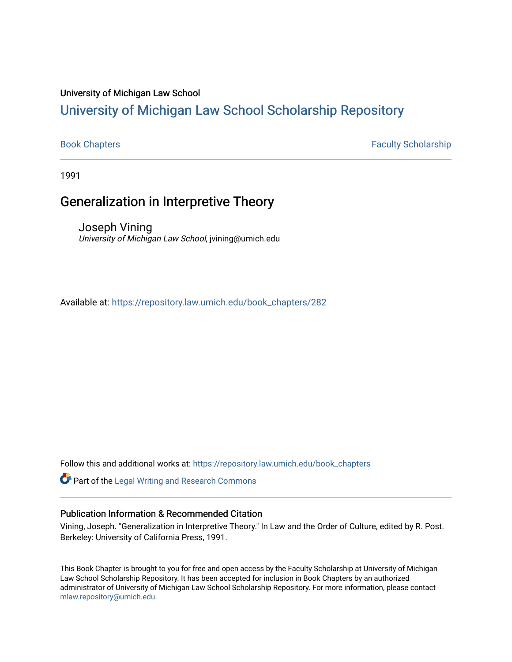## University of Michigan Law School

# [University of Michigan Law School Scholarship Repository](https://repository.law.umich.edu/)

[Book Chapters](https://repository.law.umich.edu/book_chapters) Faculty Scholarship

1991

# Generalization in Interpretive Theory

Joseph Vining University of Michigan Law School, jvining@umich.edu

Available at: [https://repository.law.umich.edu/book\\_chapters/282](https://repository.law.umich.edu/book_chapters/282) 

Follow this and additional works at: [https://repository.law.umich.edu/book\\_chapters](https://repository.law.umich.edu/book_chapters?utm_source=repository.law.umich.edu%2Fbook_chapters%2F282&utm_medium=PDF&utm_campaign=PDFCoverPages)

Part of the [Legal Writing and Research Commons](http://network.bepress.com/hgg/discipline/614?utm_source=repository.law.umich.edu%2Fbook_chapters%2F282&utm_medium=PDF&utm_campaign=PDFCoverPages) 

## Publication Information & Recommended Citation

Vining, Joseph. "Generalization in Interpretive Theory." In Law and the Order of Culture, edited by R. Post. Berkeley: University of California Press, 1991.

This Book Chapter is brought to you for free and open access by the Faculty Scholarship at University of Michigan Law School Scholarship Repository. It has been accepted for inclusion in Book Chapters by an authorized administrator of University of Michigan Law School Scholarship Repository. For more information, please contact [mlaw.repository@umich.edu.](mailto:mlaw.repository@umich.edu)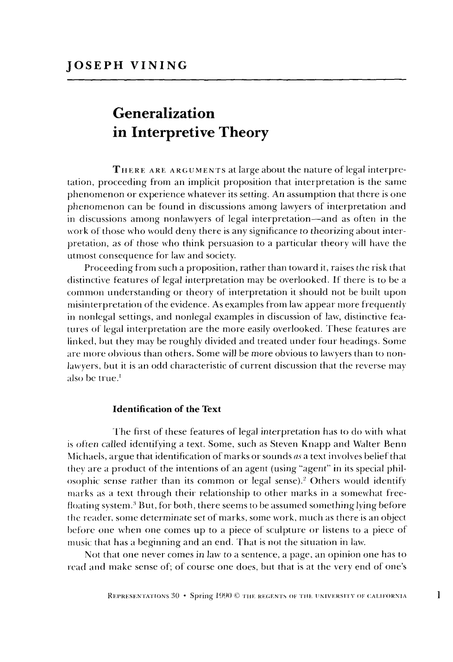# **Generalization in Interpretive Theory**

**THERE ARE ARGUMENTS at large about the nature of legal interpre**tation, proceeding from an implicit proposition that interpretation is the sarnc phenomenon or experience whatever its setting. An assumption that there is one phenomenon can be found in discussions among lawyers of interpretation and in discussions among nonlawyers of legal interpretation-and as often in the work of those who would deny there is any significance to theorizing about interpretation, as of those who think persuasion to a particular theory will have the utmost consequence for law and society.

Proceeding from such a proposition, rather than toward it, raises the risk that distinctive features of legal interpretation may be overlooked. If there is to be a common understanding or theory of interpretation it should not be built upon misinterpretation of the evidence. As examples from law appear more frequently in nonlegal settings, and nonlegal examples in discussion of law, distinctive features of legal interpretation are the more easily overlooked. These features are linked, but they may be roughly divided and treated under four headings. Some are more obvious than others. Some will be more obvious to lawyers than to nonlawyers, but it is an odd characteristic of current discussion that the reverse may also be true.<sup>1</sup>

## **Identification of the Text**

The first of these features of legal interpretation has to do with what is often called identifying a text. Some, such as Steven Knapp and Walter Benn Michaels, argue that identification of marks or sounds *as* a text involves belief that they are a product of the intentions of an agent (using "agent" in its special philosophic sense rather than its common or legal sense)." Others would identify marks as a text through their relationship to other marks in a somewhat freefloating system.<sup>3</sup> But, for both, there seems to be assumed something lying before the reader, some determinate set of marks, some work, much as there is an object before one when one comes up to a piece of sculpture or listens to a piece of music that has a beginning and an end. That is not the situation in law.

Not that one never comes in law *to* a sentence, a page, an opinion one has to read and make sense of; of course one does, but that is at the very end of one's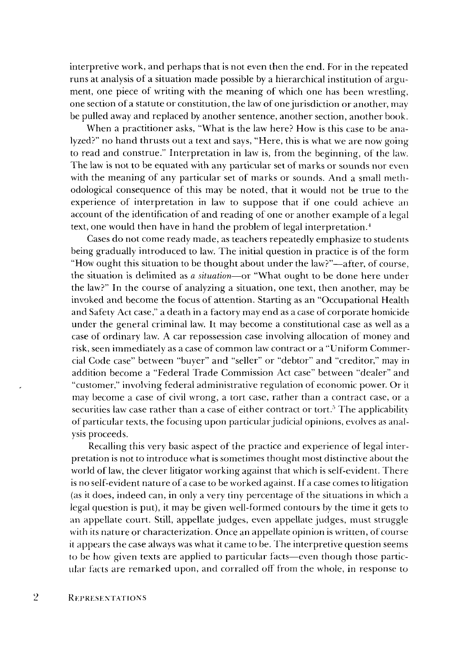interpretive work, and perhaps that is not even then the end. For in the repeated runs at analysis of a situation made possible by a hierarchical institution of argument, one piece of writing with the meaning of which one has been wrestling, one section of a statute or constitution, the law of one jurisdiction or another, may be pulled away and replaced by another sentence, another section, another book.

When a practitioner asks, "What is the law here? How is this case to be analyzed?" no hand thrusts out a text and says, "Here, this is what we are now going to read and construe." Interpretation in law is, from the beginning, of the law. The law is not to be equated with any particular set of marks or sounds nor even with the meaning of any particular set of marks or sounds. And a small methodological consequence of this may be noted, that it would not be true to the experience of interpretation in law to suppose that if one could achieve an account of the identification of and reading of one or another example of a legal text, one would then have in hand the problem of legal interpretation.<sup>4</sup>

Cases do not come ready made, as teachers repeatedly emphasize to students being gradually introduced to law. The initial question in practice is of the form "How ought this situation to be thought about under the law?"—after, of course, the situation is delimited as *a situation-or* "What ought to be done here under the law?" In the course of analyzing a situation, one text, then another, may be invoked and become the focus of attention. Starting as an "Occupational Health and Safety Act case," a death in a factory may end as a case of corporate homicide under the general criminal law. It may become a constitutional case as well as a case of ordinary law. A car repossession case involving allocation of money and risk, seen immediately as a case of common law contract or a "Uniform Commercial Code case" between "buyer" and "seller" or "debtor" and "creditor," may in addition become a "Federal Trade Commission Act case" between "dealer" and "customer," involving federal administrative regulation of economic power. Or it may become a case of civil wrong, a tort case, rather than a contract case, or a securities law case rather than a case of either contract or tort.<sup>5</sup> The applicability of particular texts, the focusing upon particular judicial opinions, evolves as analysis proceeds.

Recalling this very basic aspect of the practice and experience of legal interpretation is not to introduce what is sometimes thought most distinctive about the world of law, the clever litigator working against that which is self-evident. There is no self-evident nature of a case to be worked against. If a case comes to litigation (as it does, indeed can, in only a very tiny percentage of the situations in which a legal question is put), it may be given well-formed contours by the time it gets to an appellate court. Still, appellate judges, even appellate judges, must struggle with its nature or characterization. Once an appellate opinion is written, of course it appears the case always was what it came to be. The interpretive question seems to be how given texts are applied to particular facts-even though those particular facts are remarked upon, and corralled off from the whole, in response to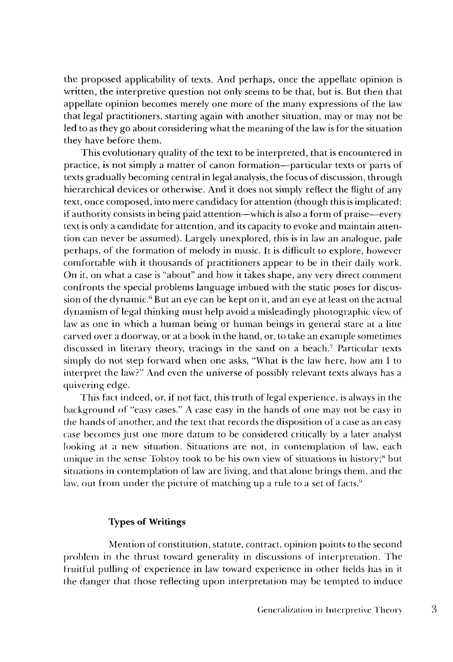the proposed applicability of texts. And perhaps, once the appellate opinion is written, the interpretive question not only seems to be that, but is. But then that appellate opinion becomes merely one more of the many expressions of the law that legal practitioners, starting again with another situation, may or may not be led to as they go about considering what the meaning of the law is for the situation they have before them.

This evolutionary quality of the text to be interpreted, that is encountered in practice, is not simply a matter of canon formation-particular texts or parts of texts gradually becoming central in legal analysis, the focus of discussion, through hierarchical devices or otherwise. And it does not simply reflect the flight of any text, once composed, into mere candidacy for attention (though this is implicated: if authority consists in being paid attention-which is also a form of praise-every text is only a candidate for attention, and its capacity to evoke and maintain attention can never be assumed). Largely unexplored, this is in law an analogue, pale perhaps, of the formation of melody in music. It is difficult to explore, however comfortable with it thousands of practitioners appear to be in their daily work. On it, on what a case is "about" and how it takes shape, any very direct comment confronts the special problems language imbued with the static poses for discussion of the dynamic.<sup>6</sup> But an eye can be kept on it, and an eye at least on the actual dynamism of legal thinking must help avoid a misleadingly photographic view of law as one in which a human being or human beings in general stare at a line carved over a doorway, or at a book in the hand, or, to take an example sometimes discussed in literary theory, tracings in the sand on a beach.<sup>7</sup> Particular texts simply do not step forward when one asks, "What is the law here, how am I to interpret the law?" And even the universe of possibly relevant texts always has a quivering edge.

This fact indeed, or, if not fact, this truth of legal experience, is always in the background of "easy cases." A case easy in the hands of one may not be easy in the hands of another, and the text that records the disposition of a case as an easy case becomes just one more datum to be considered critically by a later analyst looking at a new situation. Situations are not, in contemplation of law, each unique in the sense Tolstoy took to be his own view of situations in history;<sup>8</sup> but situations in contemplation of law are living, and that alone brings them, and the law, out from under the picture of matching up a rule to a set of facts.<sup>9</sup>

#### **Types of Writings**

Mention of constitution, statute, contract, opinion points to the second problem in the thrust toward generality in discussions of interpretation. The fruitful pulling of experience in law toward experience in other fields has in it the danger that those reflecting upon interpretation may be tempted to induce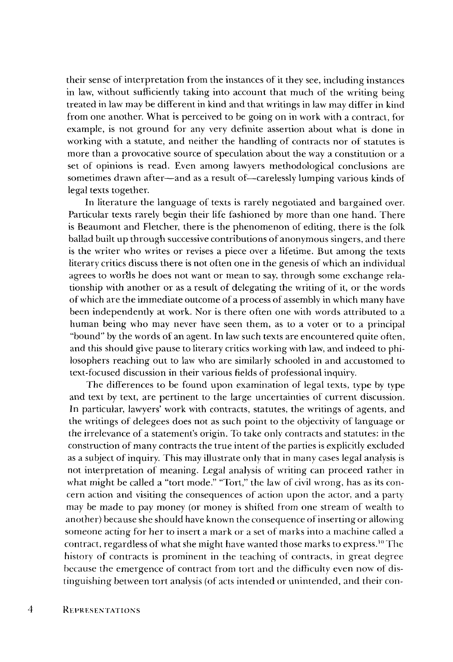their sense of interpretation from the instances of it they see, including instances in law, without sufficiently taking into account that much of the writing being treated in law may be different in kind and that writings in law may differ in kind from one another. What is perceived to be going on in work with a contract, for example, is not ground for any very definite assertion about what is done in working with a statute, and neither the handling of contracts nor of statutes is more than a provocative source of speculation about the way a constitution or a set of opinions is read. Even among lawyers methodological conclusions are sometimes drawn after-and as a result of-carelessly lumping various kinds of legal texts together.

In literature the language of texts is rarely negotiated and bargained over. Particular texts rarely begin their life fashioned by more than one hand. There is Beaumont and Fletcher, there is the phenomenon of editing, there is the folk ballad built up through successive contributions of anonymous singers, and there is the writer who writes or revises a piece over a lifetime. But among the texts literary critics discuss there is not often one in the genesis of which an individual agrees to words he does not want or mean to say, through some exchange relationship with another or as a result of delegating the writing of it, or the words of which are the immediate outcome of a process of assembly in which many have been independently at work. Nor is there often one with words attributed to a human being who may never have seen them, as to a voter or to a principal "bound" by the words of an agent. In law such texts are encountered quite often, and this should give pause to literary critics working with law, and indeed to philosophers reaching out to law who are similarly schooled in and accustomed to text-focused discussion in their various fields of professional inquiry.

The differences to be found upon examination of legal texts, type by type and text by text, are pertinent to the large uncertainties of current discussion. In particular, lawyers' work with contracts, statutes, the writings of agents, and the writings of delegees does not as such point to the objectivity of language or the irrelevance of a statement's origin. To take only contracts and statutes: in the construction of many contracts the true intent of the parties is explicitly excluded as a subject of inquiry. This may illustrate only that in many cases legal analysis is not interpretation of meaning. Legal analysis of writing can proceed rather in what might be called a "tort mode." "Tort," the law of civil wrong, has as its concern action and visiting the consequences of action upon the actor, and a party may be made to pay money (or money is shifted from one stream of wealth to another) because she should have known the consequence of inserting or allowing someone acting for her to insert a mark or a set of marks into a machine called a contract, regardless of what she might have wanted those marks to express.<sup>10</sup> The history of contracts is prominent in the teaching of contracts, in great degree because the emergence of contract from tort and the difficulty even now of distinguishing between tort analysis (of acts intended or unintended, and their con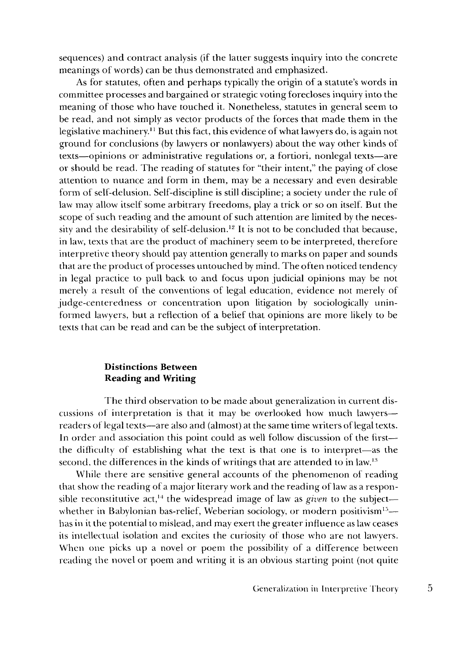sequences) and contract analysis (if the latter suggests inquiry into the concrete meanings of words) can be thus demonstrated and emphasized.

As for statutes, often and perhaps typically the origin of a statute's words in committee processes and bargained or strategic voting forecloses inquiry into the meaning of those who have touched it. Nonetheless, statutes in general seem to be read, and not simply as vector products of the forces that made them in the legislative machinery.'' But this fact, this evidence of what lawyers do, is again not ground for conclusions (by lawyers or nonlawyers) about the way other kinds of texts-opinions or administrative regulations or, a fortiori, nonlegal texts-are or should be read. The reading of statutes for "their intent," the paying of close attention to nuance and form in them, may be a necessary and even desirable form of self-delusion. Self-discipline is still discipline; a society under the rule of law may allow itself some arbitrary freedoms, play a trick or so on itself. But the scope of such reading and the amount of such attention are limited by the necessity and the desirability of self-delusion.<sup>12</sup> It is not to be concluded that because, in law, texts that are the product of machinery seem to be interpreted, therefore interpretive theory should pay attention generally to marks on paper and sounds that are the product of processes untouched by mind. The often noticed tendency in legal practice to pull back to and focus upon judicial opinions may be not merely a result of the conventions of legal education, evidence not merely of judge-centeredness or concentration upon litigation by sociologically uninformed lawyers, but a reflection of a belief that opinions are more likely to be texts that can be read and can be the subject of interpretation.

## **Distinctions Between Reading and Writing**

The third observation to be made about generalization in current discussions of interpretation is that it may be overlooked how much lawyersreaders of legal texts-are also and (almost) at the same time writers of legal texts. In order and association this point could as well follow discussion of the firstthe difficulty of establishing what the text is that one is to interpret-as the second, the differences in the kinds of writings that are attended to in law.<sup>13</sup>

While there are sensitive general accounts of the phenomenon of reading that show the reading of a major literary work and the reading of law as a responsible reconstitutive act,<sup>14</sup> the widespread image of law as *given* to the subjectwhether in Babylonian bas-relief, Weberian sociology, or modern positivism<sup>15</sup> has in it the potential to mislead, and may exert the greater influence as law ceases its intellectual isolation and excites the curiosity of those who are not lawyers. When one picks up a novel or poem the possibility of a difference between reading the novel or poem and writing it is an obvious starting point (not quite

Generalization in Interpretive Theory 5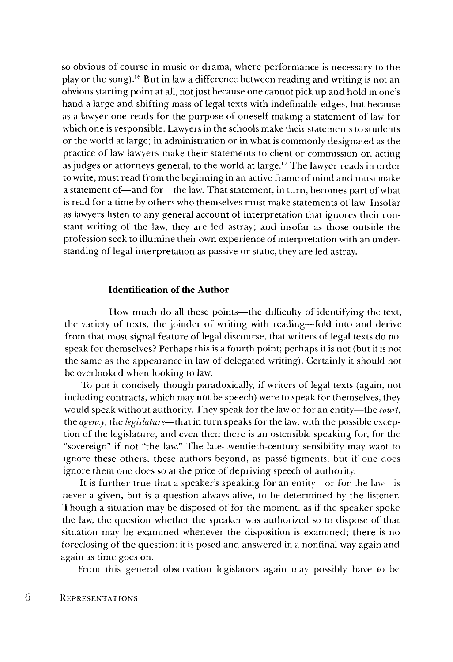so obvious of course in music or drama, where performance is necessary to the play or the song).<sup>16</sup> But in law a difference between reading and writing is not an obvious starting point at all, not just because one cannot pick up and hold in one's hand a large and shifting mass of legal texts with indefinable edges, but because as a lawyer one reads for the purpose of oneself making a statement of law for which one is responsible. Lawyers in the schools make their statements to students or the world at large; in administration or in what is commonly designated as the practice of law lawyers make their statements to client or commission or, acting as judges or attorneys general, to the world at large. 17 The lawyer reads in order to write, must read from the beginning in an active frame of mind and must make a statement of-and for-the law. That statement, in turn, becomes part of what is read for a time by others who themselves must make statements of law. Insofar as lawyers listen to any general account of interpretation that ignores their constant writing of the law, they are led astray; and insofar as those outside the profession seek to illumine their own experience of interpretation with an understanding of legal interpretation as passive or static, they are led astray.

#### **Identification of the Author**

How much do all these points—the difficulty of identifying the text, the variety of texts, the joinder of writing with reading-fold into and derive from that most signal feature of legal discourse, that writers of legal texts do not speak for themselves? Perhaps this is a fourth point; perhaps it is not (but it is not the same as the appearance in law of delegated writing). Certainly it should not be overlooked when looking to law.

To put it concisely though paradoxically, if writers of legal texts (again, not including contracts, which may not be speech) were to speak for themselves, they would speak without authority. They speak for the law or for an entity-the *court*, the *agency*, the *legislature*-that in turn speaks for the law, with the possible exception of the legislature, and even then there is an ostensible speaking for, for the "sovereign" if not "the law." The late-twentieth-century sensibility may want to ignore these others, these authors beyond, as passe figments, but if one does ignore them one does so at the price of depriving speech of authority.

It is further true that a speaker's speaking for an entity-or for the law-is never a given, but is a question always alive, to be determined by the listener. Though a situation may be disposed of for the moment, as if the speaker spoke the law, the question whether the speaker was authorized so to dispose of that situation may be examined whenever the disposition is examined; there is no foreclosing of the question: it is posed and answered in a nonfinal way again and again as time goes on.

From this general observation legislators again may possibly have to be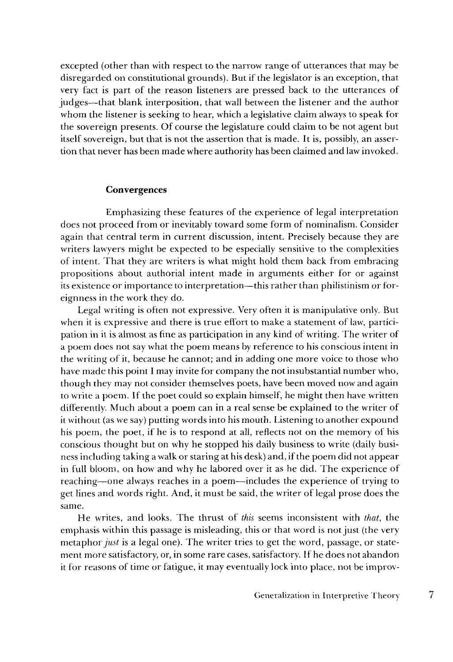excepted (other than with respect to the narrow range of utterances that may be disregarded on constitutional grounds). But if the legislator is an exception, that very fact is part of the reason listeners are pressed back to the utterances of judges—that blank interposition, that wall between the listener and the author whom the listener is seeking to hear, which a legislative claim always to speak for the sovereign presents. Of course the legislature could claim to be not agent but itself sovereign, but that is not the assertion that is made. It is, possibly, an assertion that never has been made where authority has been claimed and law invoked.

#### **Convergences**

Emphasizing these features of the experience of legal interpretation does not proceed from or inevitably toward some form of nominalism. Consider again that central term in current discussion, intent. Precisely because they are writers lawyers might be expected to be especially sensitive to the complexities of intent. That they are writers is what might hold them back from embracing propositions about authorial intent made in arguments either for or against its existence or importance to interpretation—this rather than philistinism or foreignness in the work they do.

Legal writing is often not expressive. Very often it is manipulative only. But when it is expressive and there is true effort to make a statement of law, participation in it is almost as fine as participation in any kind of writing. The writer of a poem does not say what the poem means by reference to his conscious intent in the writing of it, because he cannot; and in adding one more voice to those who have made this point I may invite for company the not insubstantial number who, though they may not consider themselves poets, have been moved now and again to write a poem. If the poet could so explain himself, he might then have written differently. Much about a poem can in a real sense be explained to the writer of it without (as we say) putting words into his mouth. Listening to another expound his poem, the poet, if he is to respond at all, reflects not on the memory of his conscious thought but on why he stopped his daily business to write (daily business including taking a walk or staring at his desk) and, if the poem did not appear in full bloom, on how and why he labored over it as he did. The experience of reaching-one always reaches in a poem-includes the experience of trying to get lines and words right. And, it must be said, the writer of legal prose does the same.

He writes, and looks. The thrust of *this* seems inconsistent with *that,* the emphasis within this passage is misleading, this or that word is not just (the very metaphor *just* is a legal one). The writer tries to get the word, passage, or statement more satisfactory, or, in some rare cases, satisfactory. If he does not abandon it for reasons of time or fatigue, it may eventually lock into place, not be improv-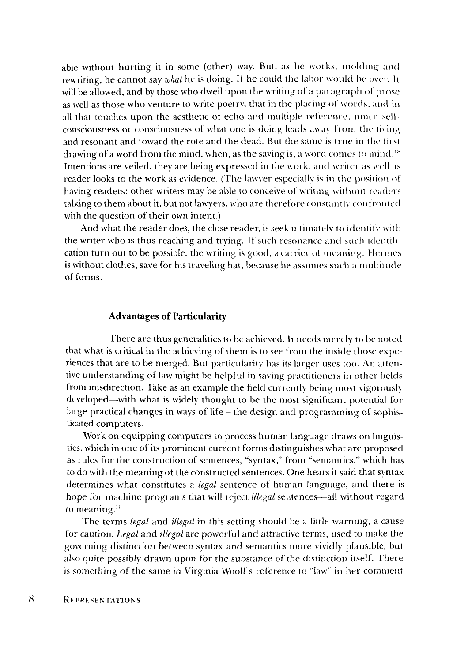able without hurting it in some (other) way. But, as he works, molding and rewriting, he cannot say *what* he is doing. If he could the labor would be over. It will be allowed, and by those who dwell upon the writing of a paragraph of prose as well as those who venture to write poetry, that in the placing of words, and in all that touches upon the aesthetic of echo and multiple reference, much selfconsciousness or consciousness of what one is doing leads away from the living and resonant and toward the rote and the dead. But the same is true in the first drawing of a word from the mind, when, as the saying is, a word comes to mind.  $^{\rm 18}$ Intentions are veiled, they are being expressed in the work, and writer as well as reader looks to the work as evidence. (The lawyer especially is in the position of having readers: other writers may be able to conceive of writing without readers talking to them about it, but not lawyers, who are therefore constantly confronted with the question of their own intent.)

And what the reader does, the close reader, is seek ultimately to identify with the writer who is thus reaching and trying. If such resonance and such identification turn out to be possible, the writing is good, a carrier of meaning. Hermes is without clothes, save for his traveling hat, because he assumes such a multitude of forms.

#### **Advantages of Particularity**

There are thus generalities to be achieved. It needs merely to be noted that what is critical in the achieving of them is to see from the inside those experiences that are to be merged. But particularity has its larger uses too. An attentive understanding of law might be helpful in saving practitioners in other fields from misdirection. Take as an example the field currently being most vigorously developed-with what is widely thought to be the most significant potential for large practical changes in ways of life—the design and programming of sophisticated computers.

Work on equipping computers to process human language draws on linguistics, which in one of its prominent current forms distinguishes what are proposed as rules for the construction of sentences, "syntax," from "semantics," which has to do with the meaning of the constructed sentences. One hears it said that syntax determines what constitutes a *legal* sentence of human language, and there is hope for machine programs that will reject *illegal* sentences-all without regard to meaning.<sup>19</sup>

The terms *legal* and *illegal* in this setting should be a little warning, a cause for caution. *Legal* and *illegal* are powerful and attractive terms, used to make the governing distinction between syntax and semantics more vividly plausible, but also quite possibly drawn upon for the substance of the distinction itself. There is something of the same in Virginia Woolf's reference to "law" in her comment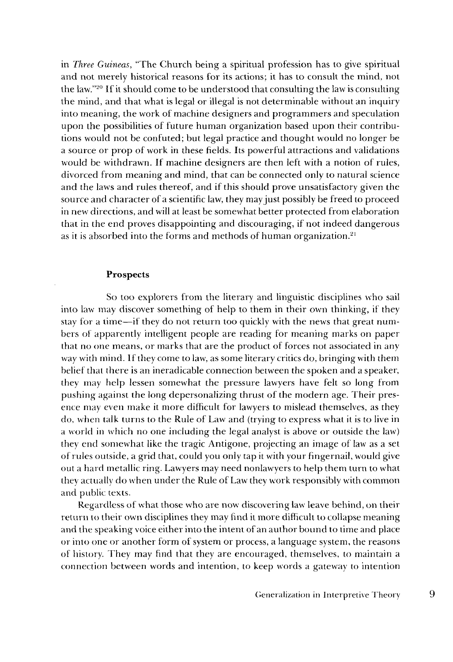in *Three Guineas,* "The Church being a spiritual profession has to give spiritual and not merely historical reasons for its actions; it has to consult the mind, not the law."20 If it should come to be understood that consulting the law is consulting the mind, and that what is legal or illegal is not determinable without an inquiry into meaning, the work of machine designers and programmers and speculation upon the possibilities of future human organization based upon their contributions would not be confuted; but legal practice and thought would no longer be a source or prop of work in these fields. Its powerful attractions and validations would be withdrawn. If machine designers are then left with a notion of rules, divorced from meaning and mind, that can be connected only to natural science and the laws and rules thereof, and if this should prove unsatisfactory given the source and character of a scientific law, they may just possibly be freed to proceed in new directions, and will at least be somewhat better protected from elaboration that in the end proves disappointing and discouraging, if not indeed dangerous as it is absorbed into the forms and methods of human organization.<sup>21</sup>

#### **Prospects**

So too explorers from the literary and linguistic disciplines who sail into law may discover something of help to them in their own thinking, if they stay for a time-if they do not return too quickly with the news that great numbers of apparently intelligent people are reading for meaning marks on paper that no one means, or marks that are the product of forces not associated in any way with mind. If they come to law, as some literary critics do, bringing with them belief that there is an ineradicable connection between the spoken and a speaker, they may help lessen somewhat the pressure lawyers have felt so long from pushing against the long depersonalizing thrust of the modern age. Their presence may even make it more difficult for lawyers to mislead themselves, as they do, when talk turns to the Rule of Law and (trying to express what it is to live in a world in which no one including the legal analyst is above or outside the law) they end somewhat like the tragic Antigone, projecting an image of law as a set of rules outside, a grid that, could you only tap it with your fingernail, would give out a hard metallic ring. Lawyers may need nonlawyers to help them turn to what they actually do when under the Rule of Law they work responsibly with common and public texts.

Regardless of what those who are now discovering law leave behind, on their return to their own disciplines they may find it more difficult to collapse meaning and the speaking voice either into the intent of an author bound to time and place or into one or another form of system or process, a language system, the reasons of history. They may find that they are encouraged, themselves, to maintain a connection between words and intention, to keep words a gateway to intention

Generalization in Interpretive Theory 9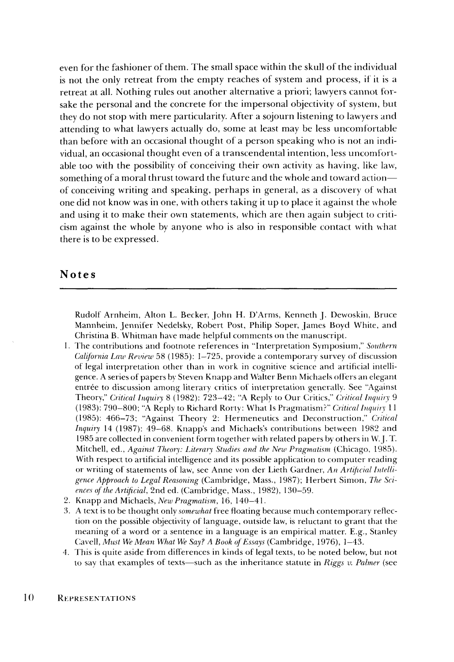even for the fashioner of them. The small space within the skull of the individual is not the only retreat from the empty reaches of system and process, if it is a retreat at all. Nothing rules out another alternative a priori; lawyers cannot forsake the personal and the concrete for the impersonal objectivity of system, but they do not stop with mere particularity. After a sojourn listening to lawyers and attendiug to what lawyers actually do, some at least may be less uncomfortable than before with an occasional thought of a person speaking who is not an individual, an occasional thought even of a transcendental intention, less uncomfortable too with the possibility of conceiving their own activity as having, like law, something of a moral thrust toward the future and the whole and toward actionof conceiving writing and speaking, perhaps in general, as a discovery of what one did not know was in one, with others taking it up to place it against the whole and using it to make their own statements, which are then again subject to criticism against the whole by anyone who is also in responsible contact with what there is to be expressed.

## **Notes**

Rudolf Arnheim, Alton L. Becker, John H. D'Arms, Kenneth J. Dewoskin, Bruce Mannheim, Jennifer Nedelsky, Robert Post, Philip Soper, James Boyd White, and Christina **B.** Whitman have made helpful comments on the manuscripl.

- I. The contributions and footnote references in "Interpretation Symposium," *Southern California Law Review* 58 (1985): 1-725, provide a contemporary survey of discussion of legal interpretation other than in work in cognitive science and artificial intelligence. A series of papers by Steven Knapp and Walter Benn Michaels offers an elegant entrée to discussion among literary critics of interpretation generally. See "Against Theory," Critical Inquiry 8 (1982): 723-42; "A Reply to Our Critics," Critical Inquiry 9 (1983): 790-800; "A Reply to Richard Rorty: What Is Pragmatism?" *Critical Inquiry* 11 ( 1985): 466-73; "Against Theory 2: Hermeneutics and Deconstruction," *Critical Inquiry* 14 (1987): 49-68. Knapp's and Michaels's contributions between 1982 and 1985 are collected in convenient form together with related papers by others in W.J. T. Mitchell, ed., *Against Theory: Literary Studies and the New Pragmatism* (Chicago, 1985). With respect to artificial intelligence and its possible application to computer reading or writing of statements of law, see Anne von der Lieth Gardner, *An Artificial Intelli*gence Approach to Legal Reasoning (Cambridge, Mass., 1987); Herbert Simon, *The Sciences of the Artificial, 2nd ed. (Cambridge, Mass., 1982), 130-59.*
- ~- Knapp and Michaels, *New Pmgrnalism,* 16, 140-41.
- 3. A text is to be thought only *somewhat* free floating because much contemporary reflection on the possible objectivity of language, outside law, is reluctant to grant that the meaning of a word or a sentence in a language is an empirical matter. E.g., Stanley Cavell, *Must We Mean What We Say? A Book of Essays* (Cambridge, 1976), 1-43.
- 4. This is quite aside from differences in kinds of legal texts, to be noted below, but not to say that examples of texts-such as the inheritance statute in *Riggs v. Palmer* (see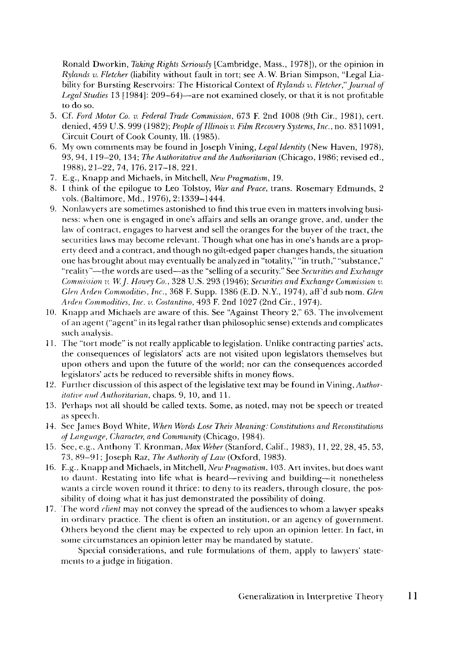Ronald Dworkin, *Taking Rights Seriously* [Cambridge, Mass., 1978]), or the opinion in *Rylands v. Fletcher* (liability without fault in tort; see A. W. Brian Simpson, "Legal Liability for Bursting Reservoirs: The Historical Context of *Rylands v. Fletcher," Journal of*  Legal Studies 13 [1984]: 209-64)—are not examined closely, or that it is not profitable to do so.

- 5. Cf. Ford Motor Co. v. Federal Trade Commission, 673 F. 2nd 1008 (9th Cir., 1981), cert. denied, 459 U.S. 999 (1982); *People of Illinois v. Film Recovery Systems, Inc.,* no. 8311091, Circuit Court of Cook County, Ill. (1985).
- 6. My own comments may be found in Joseph Vining, *Legal Identity* (New Haven, 1978), 93, 94, l I 9-20, 134; *The Authoritative and the Authoritarian* (Chicago, 1986; revised ed., 1988), 21-22, 74, 176, 217-18, 221.
- 7. E.g., Knapp and Michaels, in Mitchell, *New Pragmatism,* 19.
- 8. I think of the epilogue to Leo Tolstoy, *War and Peace,* trans. Rosemary Edmunds, 2 vols. (Baltimore, Md., 1976), 2:1339-1444.
- 9. Nonlawyers are sometimes astonished to find this true even in matters involving business: when one is engaged in one's affairs and sells an orange grove, and, under the law of contract, engages to harvest and sell the oranges for the buyer of the tract, the securities laws may become relevant. Though what one has in one's hands are a property deed and a contract, and though no gilt-edged paper changes hands, the situation one has brought about may eventually be analyzed in "totality," "in truth," "substance," "reality"-the words are used-as the "selling of a security." See *Securities and Exchange Commission v. WJ. Howey Co.,* 328 U.S. 293 (1946); *Securities and Exchange Commission v.*  Glen *Arden Commodities, Inc., 368 F. Supp.* 1386 (E.D. N.Y., 1974), aff'd sub nom. *Glen Arden Commodities, Inc. v. Costantino,* 493 F. 2nd 1027 (2nd Cir., 1974).
- 10. Knapp and Michaels are aware of this. See "Against Theory 2," 63. The involvement of an agent ("agent" in its legal rather than philosophic sense) extends and complicates such analysis.
- 11. The "tort mode" is not really applicable to legislation. Unlike contracting parties' acts, the consequences of legislators' acts are not visited upon legislators themselves but upon others and upon the future of the world; nor can the consequences accorded legislators' acts be reduced to reversible shifts in money flows.
- 12. Further discussion of this aspect of the legislative text may be found in Vining, *Authoritative and Authoritarian, chaps.* 9, 10, and 11.
- 13. Perhaps not all should be called texts. Some, as noted, may not be speech or treated as speech.
- 14. See James Boyd White, *When Words Lose Their Meaning: Constitutions and Reconstitutions of Language, Character, and Community* (Chicago, 1984).
- 15. See, e.g., Anthony T. Kronman, *Max Weber* (Stanford, Calif., 1983), 11, 22, 28, 45, 53, 73, 89-91; Joseph Raz, *The Authority of Law* (Oxford, 1983).
- 16. E.g., Knapp and Michaels, in Mitchell, *New Pragmatism,* I 03. Art invites, but does want to daunt. Restating into life what is heard-reviving and building-it nonetheless wants a circle woven round it thrice: to deny to its readers, through closure, the possibility of doing what it has just demonstrated the possibility of doing.
- 17. The word *client* may not convey the spread of the audiences to whom a lawyer speaks in ordinarv practice. The client is often an institution, or an agency of government. Others beyond the client may be expected to rely upon an opinion letter. In fact, in some circumstances an opinion letter may be mandated by statute.

Special considerations, and rule formulations of them, apply to lawyers' statements to a judge in litigation.